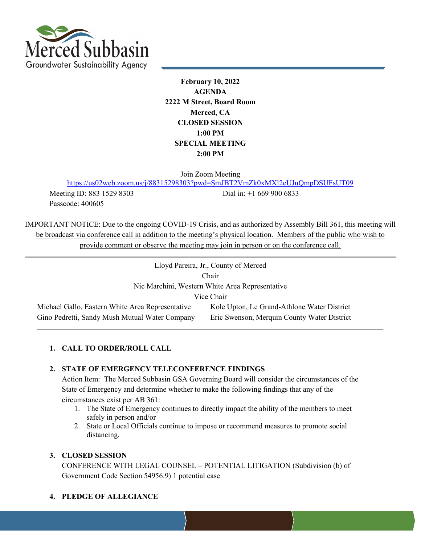

**February 10, 2022 AGENDA 2222 M Street, Board Room Merced, CA CLOSED SESSION 1:00 PM SPECIAL MEETING 2:00 PM** 

Join Zoom Meeting

<https://us02web.zoom.us/j/88315298303?pwd=SmJBT2VmZk0xMXl2eUJuQmpDSUFsUT09>

Passcode: 400605

Meeting ID: 883 1529 8303 Dial in: +1 669 900 6833

IMPORTANT NOTICE: Due to the ongoing COVID-19 Crisis, and as authorized by Assembly Bill 361, this meeting will be broadcast via conference call in addition to the meeting's physical location. Members of the public who wish to provide comment or observe the meeting may join in person or on the conference call.

| Lloyd Pareira, Jr., County of Merced             |                                             |  |
|--------------------------------------------------|---------------------------------------------|--|
| Chair                                            |                                             |  |
| Nic Marchini, Western White Area Representative  |                                             |  |
| Vice Chair                                       |                                             |  |
| Michael Gallo, Eastern White Area Representative | Kole Upton, Le Grand-Athlone Water District |  |
| Gino Pedretti, Sandy Mush Mutual Water Company   | Eric Swenson, Merquin County Water District |  |

## **1. CALL TO ORDER/ROLL CALL**

## **2. STATE OF EMERGENCY TELECONFERENCE FINDINGS**

Action Item: The Merced Subbasin GSA Governing Board will consider the circumstances of the State of Emergency and determine whether to make the following findings that any of the circumstances exist per AB 361:

- 1. The State of Emergency continues to directly impact the ability of the members to meet safely in person and/or
- 2. State or Local Officials continue to impose or recommend measures to promote social distancing.

#### **3. CLOSED SESSION**

CONFERENCE WITH LEGAL COUNSEL – POTENTIAL LITIGATION (Subdivision (b) of Government Code Section 54956.9) 1 potential case

## **4. PLEDGE OF ALLEGIANCE**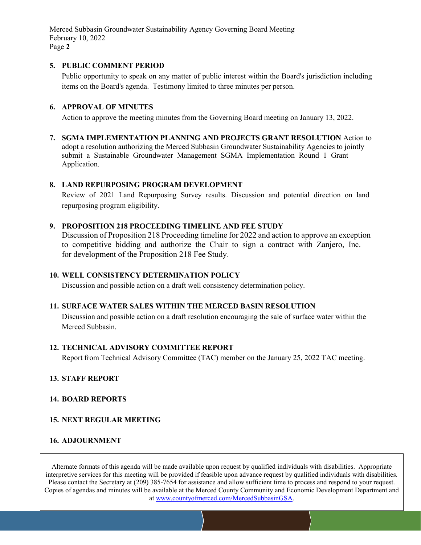Merced Subbasin Groundwater Sustainability Agency Governing Board Meeting February 10, 2022 Page **2**

#### **5. PUBLIC COMMENT PERIOD**

Public opportunity to speak on any matter of public interest within the Board's jurisdiction including items on the Board's agenda. Testimony limited to three minutes per person.

#### **6. APPROVAL OF MINUTES**

Action to approve the meeting minutes from the Governing Board meeting on January 13, 2022.

**7. SGMA IMPLEMENTATION PLANNING AND PROJECTS GRANT RESOLUTION** Action to adopt a resolution authorizing the Merced Subbasin Groundwater Sustainability Agencies to jointly submit a Sustainable Groundwater Management SGMA Implementation Round 1 Grant Application.

#### **8. LAND REPURPOSING PROGRAM DEVELOPMENT**

Review of 2021 Land Repurposing Survey results. Discussion and potential direction on land repurposing program eligibility.

#### **9. PROPOSITION 218 PROCEEDING TIMELINE AND FEE STUDY**

Discussion of Proposition 218 Proceeding timeline for 2022 and action to approve an exception to competitive bidding and authorize the Chair to sign a contract with Zanjero, Inc. for development of the Proposition 218 Fee Study.

#### **10. WELL CONSISTENCY DETERMINATION POLICY**

Discussion and possible action on a draft well consistency determination policy.

#### **11. SURFACE WATER SALES WITHIN THE MERCED BASIN RESOLUTION**

Discussion and possible action on a draft resolution encouraging the sale of surface water within the Merced Subbasin.

#### **12. TECHNICAL ADVISORY COMMITTEE REPORT**

Report from Technical Advisory Committee (TAC) member on the January 25, 2022 TAC meeting.

#### **13. STAFF REPORT**

#### **14. BOARD REPORTS**

#### **15. NEXT REGULAR MEETING**

#### **16. ADJOURNMENT**

Alternate formats of this agenda will be made available upon request by qualified individuals with disabilities. Appropriate interpretive services for this meeting will be provided if feasible upon advance request by qualified individuals with disabilities. Please contact the Secretary at (209) 385-7654 for assistance and allow sufficient time to process and respond to your request. Copies of agendas and minutes will be available at the Merced County Community and Economic Development Department and at www.countyofmerced.com/MercedSubbasinGSA.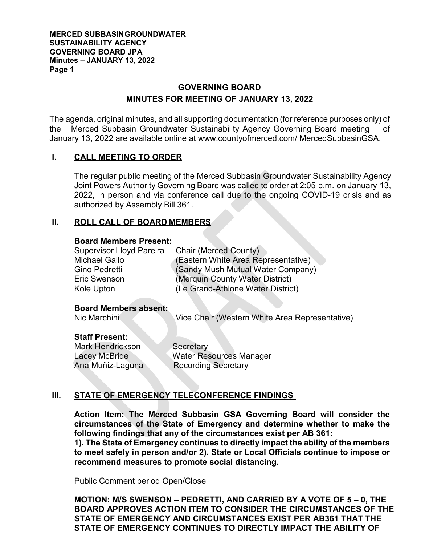#### **MERCED SUBBASINGROUNDWATER SUSTAINABILITY AGENCY GOVERNING BOARD JPA Minutes – JANUARY 13, 2022 Page 1**

## **GOVERNING BOARD**

## **MINUTES FOR MEETING OF JANUARY 13, 2022**

The agenda, original minutes, and all supporting documentation (for reference purposes only) of the Merced Subbasin Groundwater Sustainability Agency Governing Board meeting of January 13, 2022 are available online at [www.countyofmerced.com/](http://www.countyofmerced.com/) MercedSubbasinGSA.

## **I. CALL MEETING TO ORDER**

The regular public meeting of the Merced Subbasin Groundwater Sustainability Agency Joint Powers Authority Governing Board was called to order at 2:05 p.m. on January 13, 2022, in person and via conference call due to the ongoing COVID-19 crisis and as authorized by Assembly Bill 361.

## **II. ROLL CALL OF BOARD MEMBERS**

#### **Board Members Present:**

| <b>Supervisor Lloyd Pareira</b> | Chair (Merced County)               |
|---------------------------------|-------------------------------------|
| <b>Michael Gallo</b>            | (Eastern White Area Representative) |
| Gino Pedretti                   | (Sandy Mush Mutual Water Company)   |
| Eric Swenson                    | (Merquin County Water District)     |
| Kole Upton                      | (Le Grand-Athlone Water District)   |

## **Board Members absent:**

Vice Chair (Western White Area Representative)

## **Staff Present:**

Mark Hendrickson Secretary

Lacey McBride Water Resources Manager Ana Muñiz-Laguna Recording Secretary

## **III. STATE OF EMERGENCY TELECONFERENCE FINDINGS**

**Action Item: The Merced Subbasin GSA Governing Board will consider the circumstances of the State of Emergency and determine whether to make the following findings that any of the circumstances exist per AB 361:**

**1). The State of Emergency continues to directly impact the ability of the members to meet safely in person and/or 2). State or Local Officials continue to impose or recommend measures to promote social distancing.**

Public Comment period Open/Close

**MOTION: M/S SWENSON – PEDRETTI, AND CARRIED BY A VOTE OF 5 – 0, THE BOARD APPROVES ACTION ITEM TO CONSIDER THE CIRCUMSTANCES OF THE STATE OF EMERGENCY AND CIRCUMSTANCES EXIST PER AB361 THAT THE STATE OF EMERGENCY CONTINUES TO DIRECTLY IMPACT THE ABILITY OF**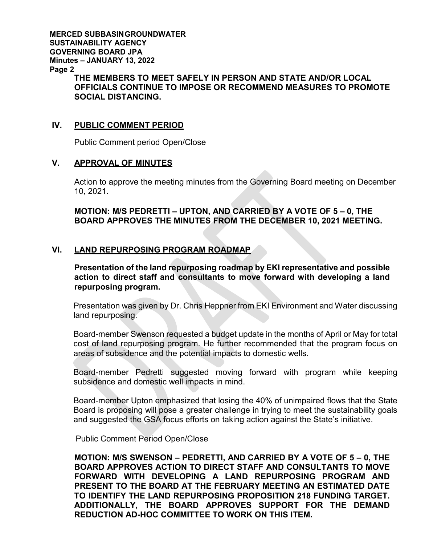**MERCED SUBBASINGROUNDWATER SUSTAINABILITY AGENCY GOVERNING BOARD JPA Minutes – JANUARY 13, 2022 Page 2**

**THE MEMBERS TO MEET SAFELY IN PERSON AND STATE AND/OR LOCAL OFFICIALS CONTINUE TO IMPOSE OR RECOMMEND MEASURES TO PROMOTE SOCIAL DISTANCING.** 

## **IV. PUBLIC COMMENT PERIOD**

Public Comment period Open/Close

## **V. APPROVAL OF MINUTES**

Action to approve the meeting minutes from the Governing Board meeting on December 10, 2021.

**MOTION: M/S PEDRETTI – UPTON, AND CARRIED BY A VOTE OF 5 – 0, THE BOARD APPROVES THE MINUTES FROM THE DECEMBER 10, 2021 MEETING.**

## **VI. LAND REPURPOSING PROGRAM ROADMAP**

**Presentation of the land repurposing roadmap by EKI representative and possible action to direct staff and consultants to move forward with developing a land repurposing program.** 

Presentation was given by Dr. Chris Heppner from EKI Environment and Water discussing land repurposing.

Board-member Swenson requested a budget update in the months of April or May for total cost of land repurposing program. He further recommended that the program focus on areas of subsidence and the potential impacts to domestic wells.

Board-member Pedretti suggested moving forward with program while keeping subsidence and domestic well impacts in mind.

Board-member Upton emphasized that losing the 40% of unimpaired flows that the State Board is proposing will pose a greater challenge in trying to meet the sustainability goals and suggested the GSA focus efforts on taking action against the State's initiative.

Public Comment Period Open/Close

**MOTION: M/S SWENSON – PEDRETTI, AND CARRIED BY A VOTE OF 5 – 0, THE BOARD APPROVES ACTION TO DIRECT STAFF AND CONSULTANTS TO MOVE FORWARD WITH DEVELOPING A LAND REPURPOSING PROGRAM AND PRESENT TO THE BOARD AT THE FEBRUARY MEETING AN ESTIMATED DATE TO IDENTIFY THE LAND REPURPOSING PROPOSITION 218 FUNDING TARGET. ADDITIONALLY, THE BOARD APPROVES SUPPORT FOR THE DEMAND REDUCTION AD-HOC COMMITTEE TO WORK ON THIS ITEM.**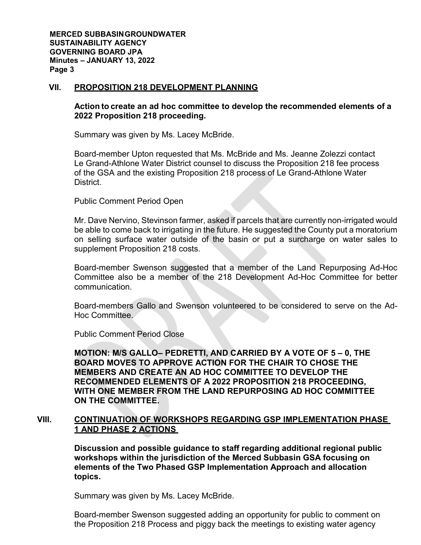**MERCED SUBBASINGROUNDWATER SUSTAINABILITY AGENCY GOVERNING BOARD JPA Minutes – JANUARY 13, 2022 Page 3**

#### **VII. PROPOSITION 218 DEVELOPMENT PLANNING**

## **Action to create an ad hoc committee to develop the recommended elements of a 2022 Proposition 218 proceeding.**

Summary was given by Ms. Lacey McBride.

Board-member Upton requested that Ms. McBride and Ms. Jeanne Zolezzi contact Le Grand-Athlone Water District counsel to discuss the Proposition 218 fee process of the GSA and the existing Proposition 218 process of Le Grand-Athlone Water District.

Public Comment Period Open

Mr. Dave Nervino, Stevinson farmer, asked if parcels that are currently non-irrigated would be able to come back to irrigating in the future. He suggested the County put a moratorium on selling surface water outside of the basin or put a surcharge on water sales to supplement Proposition 218 costs.

Board-member Swenson suggested that a member of the Land Repurposing Ad-Hoc Committee also be a member of the 218 Development Ad-Hoc Committee for better communication.

Board-members Gallo and Swenson volunteered to be considered to serve on the Ad-Hoc Committee.

Public Comment Period Close

**MOTION: M/S GALLO– PEDRETTI, AND CARRIED BY A VOTE OF 5 – 0, THE BOARD MOVES TO APPROVE ACTION FOR THE CHAIR TO CHOSE THE MEMBERS AND CREATE AN AD HOC COMMITTEE TO DEVELOP THE RECOMMENDED ELEMENTS OF A 2022 PROPOSITION 218 PROCEEDING, WITH ONE MEMBER FROM THE LAND REPURPOSING AD HOC COMMITTEE ON THE COMMITTEE.** 

## **VIII. CONTINUATION OF WORKSHOPS REGARDING GSP IMPLEMENTATION PHASE 1 AND PHASE 2 ACTIONS**

**Discussion and possible guidance to staff regarding additional regional public workshops within the jurisdiction of the Merced Subbasin GSA focusing on elements of the Two Phased GSP Implementation Approach and allocation topics.** 

Summary was given by Ms. Lacey McBride.

Board-member Swenson suggested adding an opportunity for public to comment on the Proposition 218 Process and piggy back the meetings to existing water agency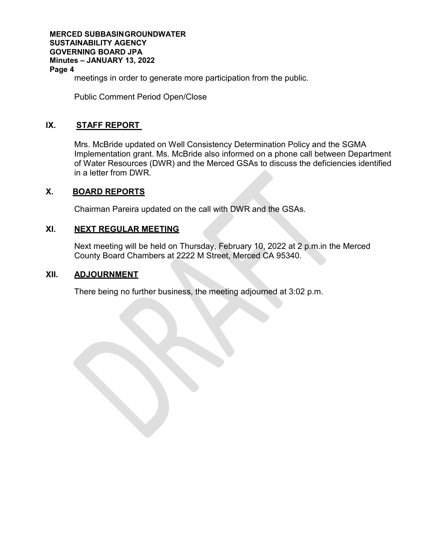**MERCED SUBBASINGROUNDWATER SUSTAINABILITY AGENCY GOVERNING BOARD JPA Minutes – JANUARY 13, 2022 Page 4** meetings in order to generate more participation from the public.

Public Comment Period Open/Close

## **IX. STAFF REPORT**

Mrs. McBride updated on Well Consistency Determination Policy and the SGMA Implementation grant. Ms. McBride also informed on a phone call between Department of Water Resources (DWR) and the Merced GSAs to discuss the deficiencies identified in a letter from DWR.

## **X. BOARD REPORTS**

Chairman Pareira updated on the call with DWR and the GSAs.

## **XI. NEXT REGULAR MEETING**

Next meeting will be held on Thursday, February 10, 2022 at 2 p.m.in the Merced County Board Chambers at 2222 M Street, Merced CA 95340.

## **XII. ADJOURNMENT**

There being no further business, the meeting adjourned at 3:02 p.m.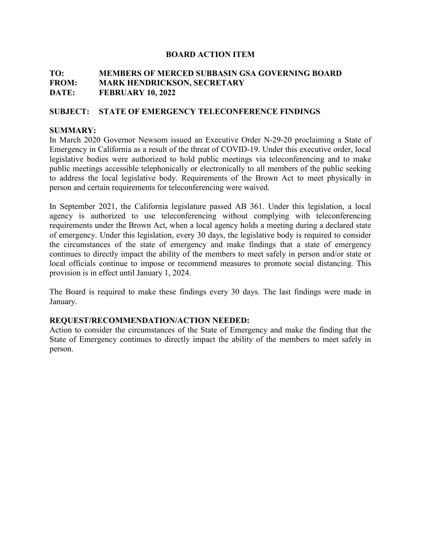## **TO: MEMBERS OF MERCED SUBBASIN GSA GOVERNING BOARD FROM: MARK HENDRICKSON, SECRETARY DATE: FEBRUARY 10, 2022**

## **SUBJECT: STATE OF EMERGENCY TELECONFERENCE FINDINGS**

## **SUMMARY:**

In March 2020 Governor Newsom issued an Executive Order N-29-20 proclaiming a State of Emergency in California as a result of the threat of COVID-19. Under this executive order, local legislative bodies were authorized to hold public meetings via teleconferencing and to make public meetings accessible telephonically or electronically to all members of the public seeking to address the local legislative body. Requirements of the Brown Act to meet physically in person and certain requirements for teleconferencing were waived.

In September 2021, the California legislature passed AB 361. Under this legislation, a local agency is authorized to use teleconferencing without complying with teleconferencing requirements under the Brown Act, when a local agency holds a meeting during a declared state of emergency. Under this legislation, every 30 days, the legislative body is required to consider the circumstances of the state of emergency and make findings that a state of emergency continues to directly impact the ability of the members to meet safely in person and/or state or local officials continue to impose or recommend measures to promote social distancing. This provision is in effect until January 1, 2024.

The Board is required to make these findings every 30 days. The last findings were made in January.

## **REQUEST/RECOMMENDATION/ACTION NEEDED:**

Action to consider the circumstances of the State of Emergency and make the finding that the State of Emergency continues to directly impact the ability of the members to meet safely in person.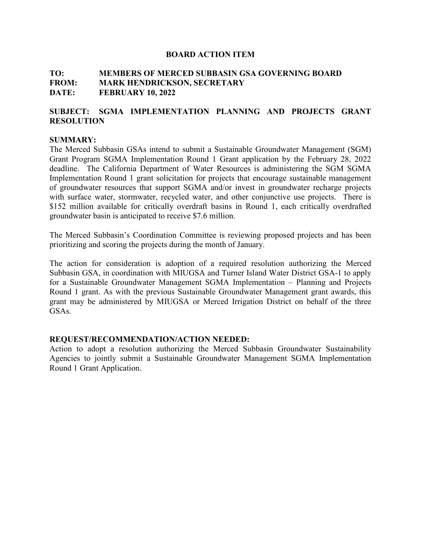## **TO: MEMBERS OF MERCED SUBBASIN GSA GOVERNING BOARD FROM: MARK HENDRICKSON, SECRETARY DATE: FEBRUARY 10, 2022**

## **SUBJECT: SGMA IMPLEMENTATION PLANNING AND PROJECTS GRANT RESOLUTION**

#### **SUMMARY:**

The Merced Subbasin GSAs intend to submit a Sustainable Groundwater Management (SGM) Grant Program SGMA Implementation Round 1 Grant application by the February 28, 2022 deadline. The California Department of Water Resources is administering the SGM SGMA Implementation Round 1 grant solicitation for projects that encourage sustainable management of groundwater resources that support SGMA and/or invest in groundwater recharge projects with surface water, stormwater, recycled water, and other conjunctive use projects. There is \$152 million available for critically overdraft basins in Round 1, each critically overdrafted groundwater basin is anticipated to receive \$7.6 million.

The Merced Subbasin's Coordination Committee is reviewing proposed projects and has been prioritizing and scoring the projects during the month of January.

The action for consideration is adoption of a required resolution authorizing the Merced Subbasin GSA, in coordination with MIUGSA and Turner Island Water District GSA-1 to apply for a Sustainable Groundwater Management SGMA Implementation – Planning and Projects Round 1 grant. As with the previous Sustainable Groundwater Management grant awards, this grant may be administered by MIUGSA or Merced Irrigation District on behalf of the three GSAs.

#### **REQUEST/RECOMMENDATION/ACTION NEEDED:**

Action to adopt a resolution authorizing the Merced Subbasin Groundwater Sustainability Agencies to jointly submit a Sustainable Groundwater Management SGMA Implementation Round 1 Grant Application.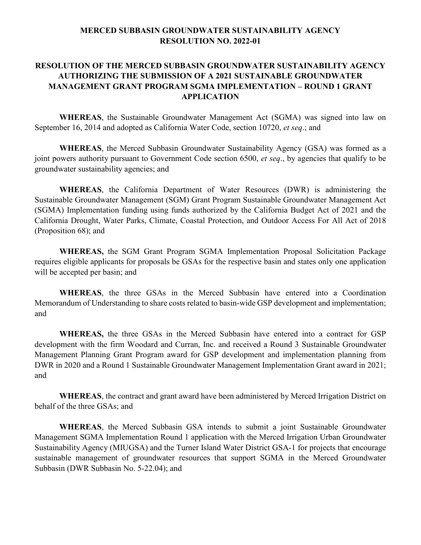## **RESOLUTION OF THE MERCED SUBBASIN GROUNDWATER SUSTAINABILITY AGENCY AUTHORIZING THE SUBMISSION OF A 2021 SUSTAINABLE GROUNDWATER MANAGEMENT GRANT PROGRAM SGMA IMPLEMENTATION – ROUND 1 GRANT APPLICATION**

**WHEREAS**, the Sustainable Groundwater Management Act (SGMA) was signed into law on September 16, 2014 and adopted as California Water Code, section 10720, *et seq*.; and

**WHEREAS**, the Merced Subbasin Groundwater Sustainability Agency (GSA) was formed as a joint powers authority pursuant to Government Code section 6500, *et seq*., by agencies that qualify to be groundwater sustainability agencies; and

**WHEREAS**, the California Department of Water Resources (DWR) is administering the Sustainable Groundwater Management (SGM) Grant Program Sustainable Groundwater Management Act (SGMA) Implementation funding using funds authorized by the California Budget Act of 2021 and the California Drought, Water Parks, Climate, Coastal Protection, and Outdoor Access For All Act of 2018 (Proposition 68); and

**WHEREAS,** the SGM Grant Program SGMA Implementation Proposal Solicitation Package requires eligible applicants for proposals be GSAs for the respective basin and states only one application will be accepted per basin; and

**WHEREAS**, the three GSAs in the Merced Subbasin have entered into a Coordination Memorandum of Understanding to share costs related to basin-wide GSP development and implementation; and

**WHEREAS,** the three GSAs in the Merced Subbasin have entered into a contract for GSP development with the firm Woodard and Curran, Inc. and received a Round 3 Sustainable Groundwater Management Planning Grant Program award for GSP development and implementation planning from DWR in 2020 and a Round 1 Sustainable Groundwater Management Implementation Grant award in 2021; and

**WHEREAS**, the contract and grant award have been administered by Merced Irrigation District on behalf of the three GSAs; and

**WHEREAS**, the Merced Subbasin GSA intends to submit a joint Sustainable Groundwater Management SGMA Implementation Round 1 application with the Merced Irrigation Urban Groundwater Sustainability Agency (MIUGSA) and the Turner Island Water District GSA-1 for projects that encourage sustainable management of groundwater resources that support SGMA in the Merced Groundwater Subbasin (DWR Subbasin No. 5-22.04); and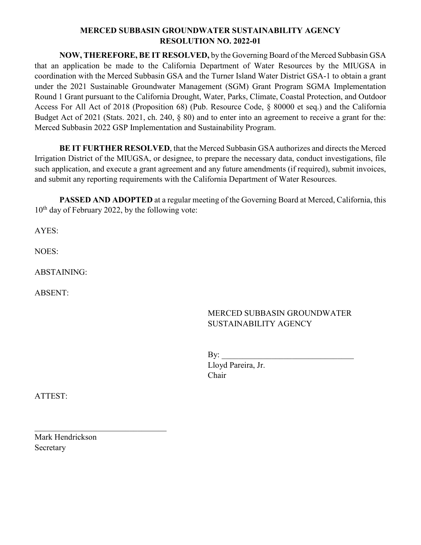**NOW, THEREFORE, BE IT RESOLVED,** by the Governing Board of the Merced Subbasin GSA that an application be made to the California Department of Water Resources by the MIUGSA in coordination with the Merced Subbasin GSA and the Turner Island Water District GSA-1 to obtain a grant under the 2021 Sustainable Groundwater Management (SGM) Grant Program SGMA Implementation Round 1 Grant pursuant to the California Drought, Water, Parks, Climate, Coastal Protection, and Outdoor Access For All Act of 2018 (Proposition 68) (Pub. Resource Code, § 80000 et seq.) and the California Budget Act of 2021 (Stats. 2021, ch. 240, § 80) and to enter into an agreement to receive a grant for the: Merced Subbasin 2022 GSP Implementation and Sustainability Program.

**BE IT FURTHER RESOLVED**, that the Merced Subbasin GSA authorizes and directs the Merced Irrigation District of the MIUGSA, or designee, to prepare the necessary data, conduct investigations, file such application, and execute a grant agreement and any future amendments (if required), submit invoices, and submit any reporting requirements with the California Department of Water Resources.

**PASSED AND ADOPTED** at a regular meeting of the Governing Board at Merced, California, this  $10^{th}$  day of February 2022, by the following vote:

AYES:

NOES:

ABSTAINING:

ABSENT:

## MERCED SUBBASIN GROUNDWATER SUSTAINABILITY AGENCY

| By:                |  |
|--------------------|--|
| Lloyd Pareira, Jr. |  |
| Chair              |  |

ATTEST:

Mark Hendrickson Secretary

 $\mathcal{L}_\text{max}$  , where  $\mathcal{L}_\text{max}$  , we have the set of the set of the set of the set of the set of the set of the set of the set of the set of the set of the set of the set of the set of the set of the set of the set of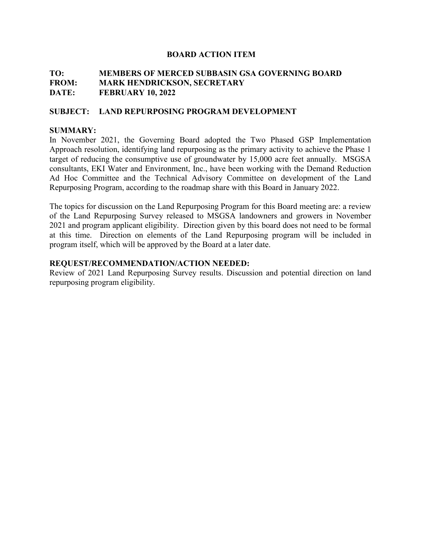## **TO: MEMBERS OF MERCED SUBBASIN GSA GOVERNING BOARD FROM: MARK HENDRICKSON, SECRETARY DATE: FEBRUARY 10, 2022**

## **SUBJECT: LAND REPURPOSING PROGRAM DEVELOPMENT**

#### **SUMMARY:**

In November 2021, the Governing Board adopted the Two Phased GSP Implementation Approach resolution, identifying land repurposing as the primary activity to achieve the Phase 1 target of reducing the consumptive use of groundwater by 15,000 acre feet annually. MSGSA consultants, EKI Water and Environment, Inc., have been working with the Demand Reduction Ad Hoc Committee and the Technical Advisory Committee on development of the Land Repurposing Program, according to the roadmap share with this Board in January 2022.

The topics for discussion on the Land Repurposing Program for this Board meeting are: a review of the Land Repurposing Survey released to MSGSA landowners and growers in November 2021 and program applicant eligibility. Direction given by this board does not need to be formal at this time. Direction on elements of the Land Repurposing program will be included in program itself, which will be approved by the Board at a later date.

#### **REQUEST/RECOMMENDATION/ACTION NEEDED:**

Review of 2021 Land Repurposing Survey results. Discussion and potential direction on land repurposing program eligibility.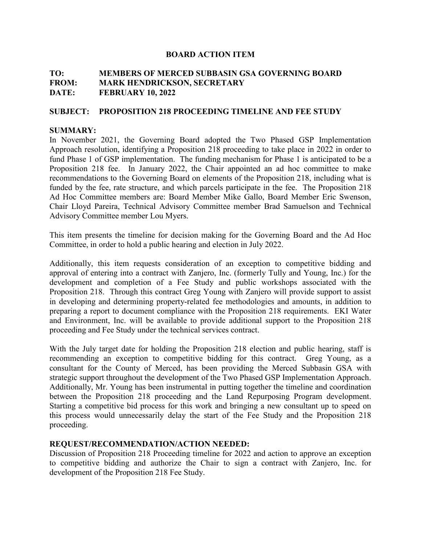## **TO: MEMBERS OF MERCED SUBBASIN GSA GOVERNING BOARD FROM: MARK HENDRICKSON, SECRETARY DATE: FEBRUARY 10, 2022**

#### **SUBJECT: PROPOSITION 218 PROCEEDING TIMELINE AND FEE STUDY**

#### **SUMMARY:**

In November 2021, the Governing Board adopted the Two Phased GSP Implementation Approach resolution, identifying a Proposition 218 proceeding to take place in 2022 in order to fund Phase 1 of GSP implementation. The funding mechanism for Phase 1 is anticipated to be a Proposition 218 fee. In January 2022, the Chair appointed an ad hoc committee to make recommendations to the Governing Board on elements of the Proposition 218, including what is funded by the fee, rate structure, and which parcels participate in the fee. The Proposition 218 Ad Hoc Committee members are: Board Member Mike Gallo, Board Member Eric Swenson, Chair Lloyd Pareira, Technical Advisory Committee member Brad Samuelson and Technical Advisory Committee member Lou Myers.

This item presents the timeline for decision making for the Governing Board and the Ad Hoc Committee, in order to hold a public hearing and election in July 2022.

Additionally, this item requests consideration of an exception to competitive bidding and approval of entering into a contract with Zanjero, Inc. (formerly Tully and Young, Inc.) for the development and completion of a Fee Study and public workshops associated with the Proposition 218. Through this contract Greg Young with Zanjero will provide support to assist in developing and determining property-related fee methodologies and amounts, in addition to preparing a report to document compliance with the Proposition 218 requirements. EKI Water and Environment, Inc. will be available to provide additional support to the Proposition 218 proceeding and Fee Study under the technical services contract.

With the July target date for holding the Proposition 218 election and public hearing, staff is recommending an exception to competitive bidding for this contract. Greg Young, as a consultant for the County of Merced, has been providing the Merced Subbasin GSA with strategic support throughout the development of the Two Phased GSP Implementation Approach. Additionally, Mr. Young has been instrumental in putting together the timeline and coordination between the Proposition 218 proceeding and the Land Repurposing Program development. Starting a competitive bid process for this work and bringing a new consultant up to speed on this process would unnecessarily delay the start of the Fee Study and the Proposition 218 proceeding.

#### **REQUEST/RECOMMENDATION/ACTION NEEDED:**

Discussion of Proposition 218 Proceeding timeline for 2022 and action to approve an exception to competitive bidding and authorize the Chair to sign a contract with Zanjero, Inc. for development of the Proposition 218 Fee Study.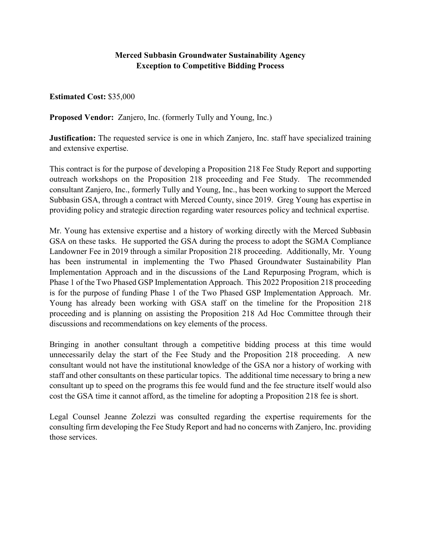## **Merced Subbasin Groundwater Sustainability Agency Exception to Competitive Bidding Process**

**Estimated Cost:** \$35,000

**Proposed Vendor:** Zanjero, Inc. (formerly Tully and Young, Inc.)

**Justification:** The requested service is one in which Zanjero, Inc. staff have specialized training and extensive expertise.

This contract is for the purpose of developing a Proposition 218 Fee Study Report and supporting outreach workshops on the Proposition 218 proceeding and Fee Study. The recommended consultant Zanjero, Inc., formerly Tully and Young, Inc., has been working to support the Merced Subbasin GSA, through a contract with Merced County, since 2019. Greg Young has expertise in providing policy and strategic direction regarding water resources policy and technical expertise.

Mr. Young has extensive expertise and a history of working directly with the Merced Subbasin GSA on these tasks. He supported the GSA during the process to adopt the SGMA Compliance Landowner Fee in 2019 through a similar Proposition 218 proceeding. Additionally, Mr. Young has been instrumental in implementing the Two Phased Groundwater Sustainability Plan Implementation Approach and in the discussions of the Land Repurposing Program, which is Phase 1 of the Two Phased GSP Implementation Approach. This 2022 Proposition 218 proceeding is for the purpose of funding Phase 1 of the Two Phased GSP Implementation Approach. Mr. Young has already been working with GSA staff on the timeline for the Proposition 218 proceeding and is planning on assisting the Proposition 218 Ad Hoc Committee through their discussions and recommendations on key elements of the process.

Bringing in another consultant through a competitive bidding process at this time would unnecessarily delay the start of the Fee Study and the Proposition 218 proceeding. A new consultant would not have the institutional knowledge of the GSA nor a history of working with staff and other consultants on these particular topics. The additional time necessary to bring a new consultant up to speed on the programs this fee would fund and the fee structure itself would also cost the GSA time it cannot afford, as the timeline for adopting a Proposition 218 fee is short.

Legal Counsel Jeanne Zolezzi was consulted regarding the expertise requirements for the consulting firm developing the Fee Study Report and had no concerns with Zanjero, Inc. providing those services.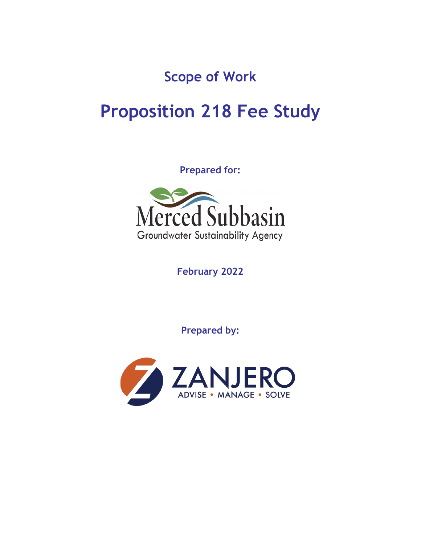**Scope of Work**

# **Proposition 218 Fee Study**

**Prepared for:**



**February 2022**

**Prepared by:**

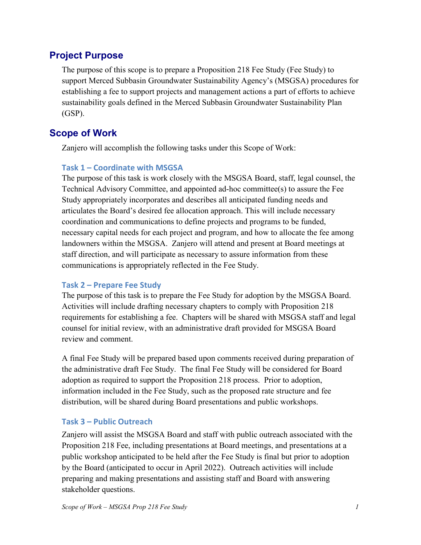## **Project Purpose**

The purpose of this scope is to prepare a Proposition 218 Fee Study (Fee Study) to support Merced Subbasin Groundwater Sustainability Agency's (MSGSA) procedures for establishing a fee to support projects and management actions a part of efforts to achieve sustainability goals defined in the Merced Subbasin Groundwater Sustainability Plan (GSP).

## **Scope of Work**

Zanjero will accomplish the following tasks under this Scope of Work:

## **Task 1 – Coordinate with MSGSA**

The purpose of this task is work closely with the MSGSA Board, staff, legal counsel, the Technical Advisory Committee, and appointed ad-hoc committee(s) to assure the Fee Study appropriately incorporates and describes all anticipated funding needs and articulates the Board's desired fee allocation approach. This will include necessary coordination and communications to define projects and programs to be funded, necessary capital needs for each project and program, and how to allocate the fee among landowners within the MSGSA. Zanjero will attend and present at Board meetings at staff direction, and will participate as necessary to assure information from these communications is appropriately reflected in the Fee Study.

## **Task 2 – Prepare Fee Study**

The purpose of this task is to prepare the Fee Study for adoption by the MSGSA Board. Activities will include drafting necessary chapters to comply with Proposition 218 requirements for establishing a fee. Chapters will be shared with MSGSA staff and legal counsel for initial review, with an administrative draft provided for MSGSA Board review and comment.

A final Fee Study will be prepared based upon comments received during preparation of the administrative draft Fee Study. The final Fee Study will be considered for Board adoption as required to support the Proposition 218 process. Prior to adoption, information included in the Fee Study, such as the proposed rate structure and fee distribution, will be shared during Board presentations and public workshops.

## **Task 3 – Public Outreach**

Zanjero will assist the MSGSA Board and staff with public outreach associated with the Proposition 218 Fee, including presentations at Board meetings, and presentations at a public workshop anticipated to be held after the Fee Study is final but prior to adoption by the Board (anticipated to occur in April 2022). Outreach activities will include preparing and making presentations and assisting staff and Board with answering stakeholder questions.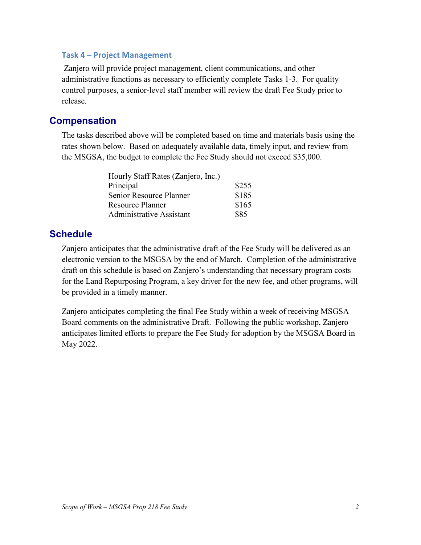## **Task 4 – Project Management**

Zanjero will provide project management, client communications, and other administrative functions as necessary to efficiently complete Tasks 1-3. For quality control purposes, a senior-level staff member will review the draft Fee Study prior to release.

## **Compensation**

The tasks described above will be completed based on time and materials basis using the rates shown below. Based on adequately available data, timely input, and review from the MSGSA, the budget to complete the Fee Study should not exceed \$35,000.

| Hourly Staff Rates (Zanjero, Inc.) |       |
|------------------------------------|-------|
| Principal                          | \$255 |
| Senior Resource Planner            | \$185 |
| <b>Resource Planner</b>            | \$165 |
| <b>Administrative Assistant</b>    | \$85  |

## **Schedule**

Zanjero anticipates that the administrative draft of the Fee Study will be delivered as an electronic version to the MSGSA by the end of March. Completion of the administrative draft on this schedule is based on Zanjero's understanding that necessary program costs for the Land Repurposing Program, a key driver for the new fee, and other programs, will be provided in a timely manner.

Zanjero anticipates completing the final Fee Study within a week of receiving MSGSA Board comments on the administrative Draft. Following the public workshop, Zanjero anticipates limited efforts to prepare the Fee Study for adoption by the MSGSA Board in May 2022.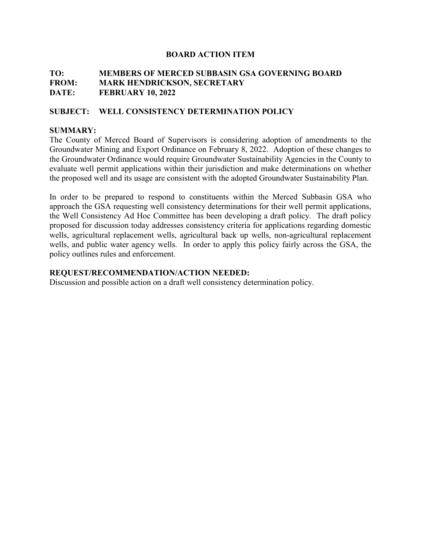## **TO: MEMBERS OF MERCED SUBBASIN GSA GOVERNING BOARD FROM: MARK HENDRICKSON, SECRETARY DATE: FEBRUARY 10, 2022**

## **SUBJECT: WELL CONSISTENCY DETERMINATION POLICY**

## **SUMMARY:**

The County of Merced Board of Supervisors is considering adoption of amendments to the Groundwater Mining and Export Ordinance on February 8, 2022. Adoption of these changes to the Groundwater Ordinance would require Groundwater Sustainability Agencies in the County to evaluate well permit applications within their jurisdiction and make determinations on whether the proposed well and its usage are consistent with the adopted Groundwater Sustainability Plan.

In order to be prepared to respond to constituents within the Merced Subbasin GSA who approach the GSA requesting well consistency determinations for their well permit applications, the Well Consistency Ad Hoc Committee has been developing a draft policy. The draft policy proposed for discussion today addresses consistency criteria for applications regarding domestic wells, agricultural replacement wells, agricultural back up wells, non-agricultural replacement wells, and public water agency wells. In order to apply this policy fairly across the GSA, the policy outlines rules and enforcement.

## **REQUEST/RECOMMENDATION/ACTION NEEDED:**

Discussion and possible action on a draft well consistency determination policy.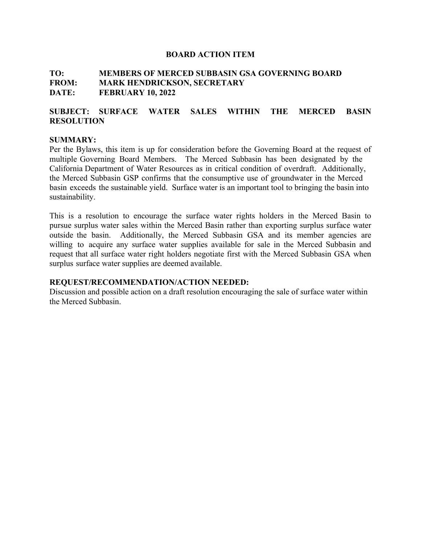## **TO: MEMBERS OF MERCED SUBBASIN GSA GOVERNING BOARD FROM: MARK HENDRICKSON, SECRETARY DATE: FEBRUARY 10, 2022**

## **SUBJECT: SURFACE WATER SALES WITHIN THE MERCED BASIN RESOLUTION**

#### **SUMMARY:**

Per the Bylaws, this item is up for consideration before the Governing Board at the request of multiple Governing Board Members. The Merced Subbasin has been designated by the California Department of Water Resources as in critical condition of overdraft. Additionally, the Merced Subbasin GSP confirms that the consumptive use of groundwater in the Merced basin exceeds the sustainable yield. Surface water is an important tool to bringing the basin into sustainability.

This is a resolution to encourage the surface water rights holders in the Merced Basin to pursue surplus water sales within the Merced Basin rather than exporting surplus surface water outside the basin. Additionally, the Merced Subbasin GSA and its member agencies are willing to acquire any surface water supplies available for sale in the Merced Subbasin and request that all surface water right holders negotiate first with the Merced Subbasin GSA when surplus surface water supplies are deemed available.

#### **REQUEST/RECOMMENDATION/ACTION NEEDED:**

Discussion and possible action on a draft resolution encouraging the sale of surface water within the Merced Subbasin.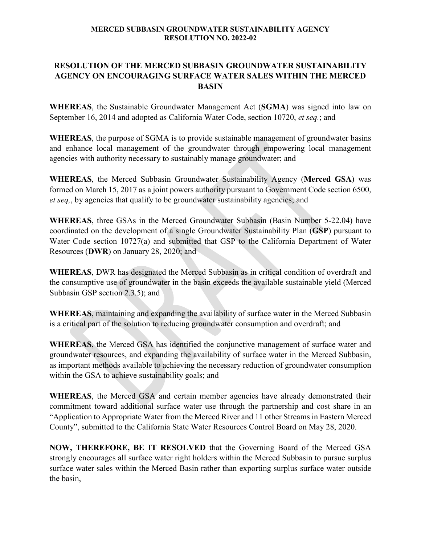## **RESOLUTION OF THE MERCED SUBBASIN GROUNDWATER SUSTAINABILITY AGENCY ON ENCOURAGING SURFACE WATER SALES WITHIN THE MERCED BASIN**

**WHEREAS**, the Sustainable Groundwater Management Act (**SGMA**) was signed into law on September 16, 2014 and adopted as California Water Code, section 10720, *et seq.*; and

**WHEREAS**, the purpose of SGMA is to provide sustainable management of groundwater basins and enhance local management of the groundwater through empowering local management agencies with authority necessary to sustainably manage groundwater; and

**WHEREAS**, the Merced Subbasin Groundwater Sustainability Agency (**Merced GSA**) was formed on March 15, 2017 as a joint powers authority pursuant to Government Code section 6500, *et seq,*, by agencies that qualify to be groundwater sustainability agencies; and

**WHEREAS**, three GSAs in the Merced Groundwater Subbasin (Basin Number 5-22.04) have coordinated on the development of a single Groundwater Sustainability Plan (**GSP**) pursuant to Water Code section 10727(a) and submitted that GSP to the California Department of Water Resources (**DWR**) on January 28, 2020; and

**WHEREAS**, DWR has designated the Merced Subbasin as in critical condition of overdraft and the consumptive use of groundwater in the basin exceeds the available sustainable yield (Merced Subbasin GSP section 2.3.5); and

**WHEREAS**, maintaining and expanding the availability of surface water in the Merced Subbasin is a critical part of the solution to reducing groundwater consumption and overdraft; and

**WHEREAS**, the Merced GSA has identified the conjunctive management of surface water and groundwater resources, and expanding the availability of surface water in the Merced Subbasin, as important methods available to achieving the necessary reduction of groundwater consumption within the GSA to achieve sustainability goals; and

**WHEREAS**, the Merced GSA and certain member agencies have already demonstrated their commitment toward additional surface water use through the partnership and cost share in an "Application to Appropriate Water from the Merced River and 11 other Streams in Eastern Merced County", submitted to the California State Water Resources Control Board on May 28, 2020.

**NOW, THEREFORE, BE IT RESOLVED** that the Governing Board of the Merced GSA strongly encourages all surface water right holders within the Merced Subbasin to pursue surplus surface water sales within the Merced Basin rather than exporting surplus surface water outside the basin,